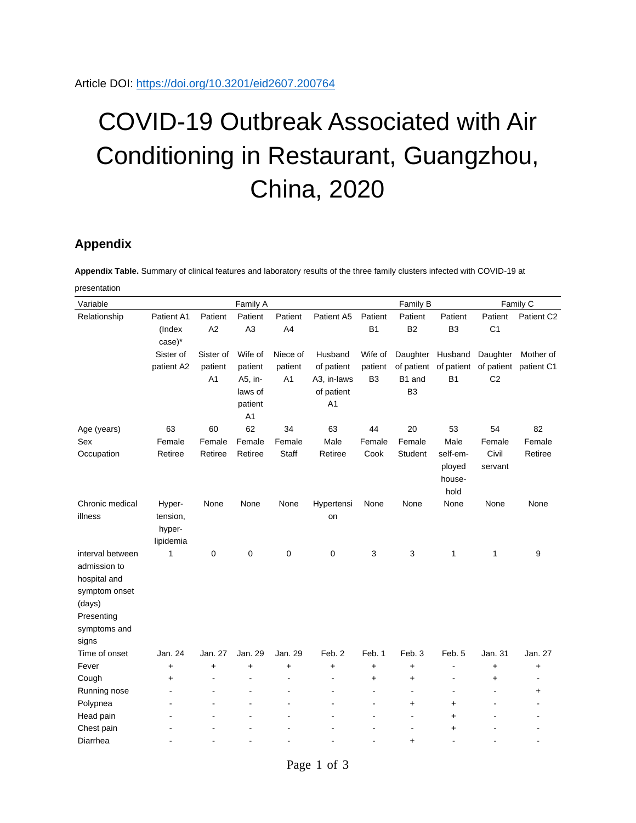## COVID-19 Outbreak Associated with Air Conditioning in Restaurant, Guangzhou, China, 2020

## **Appendix**

**Appendix Table.** Summary of clinical features and laboratory results of the three family clusters infected with COVID-19 at presentation

| Variable         | Family A             |               |                           |                |                |                           | Family B                  |                                      |                           | Family C               |  |
|------------------|----------------------|---------------|---------------------------|----------------|----------------|---------------------------|---------------------------|--------------------------------------|---------------------------|------------------------|--|
| Relationship     | Patient A1<br>(Index | Patient<br>A2 | Patient<br>A <sub>3</sub> | Patient<br>A4  | Patient A5     | Patient<br>B <sub>1</sub> | Patient<br>B <sub>2</sub> | Patient<br>B <sub>3</sub>            | Patient<br>C <sub>1</sub> | Patient C <sub>2</sub> |  |
|                  | case)*               |               |                           |                |                |                           |                           |                                      |                           |                        |  |
|                  | Sister of            | Sister of     | Wife of                   | Niece of       | Husband        | Wife of                   | Daughter                  | Husband                              | Daughter                  | Mother of              |  |
|                  | patient A2           | patient       | patient                   | patient        | of patient     | patient                   |                           | of patient of patient                |                           | of patient patient C1  |  |
|                  |                      | A1            | A5, in-                   | A <sub>1</sub> | A3, in-laws    | B <sub>3</sub>            | B1 and                    | B <sub>1</sub>                       | C <sub>2</sub>            |                        |  |
|                  |                      |               | laws of                   |                | of patient     |                           | B <sub>3</sub>            |                                      |                           |                        |  |
|                  |                      |               | patient                   |                | A <sub>1</sub> |                           |                           |                                      |                           |                        |  |
|                  |                      |               | A <sub>1</sub>            |                |                |                           |                           |                                      |                           |                        |  |
| Age (years)      | 63                   | 60            | 62                        | 34             | 63             | 44                        | 20                        | 53                                   | 54                        | 82                     |  |
| Sex              | Female               | Female        | Female                    | Female         | Male           | Female                    | Female                    | Male                                 | Female                    | Female                 |  |
| Occupation       | Retiree              | Retiree       | Retiree                   | Staff          | Retiree        | Cook                      | <b>Student</b>            | self-em-<br>ployed<br>house-<br>hold | Civil<br>servant          | Retiree                |  |
| Chronic medical  | Hyper-               | None          | None                      | None           | Hypertensi     | None                      | None                      | None                                 | None                      | None                   |  |
| illness          | tension,             |               |                           |                | on             |                           |                           |                                      |                           |                        |  |
|                  | hyper-               |               |                           |                |                |                           |                           |                                      |                           |                        |  |
|                  | lipidemia            |               |                           |                |                |                           |                           |                                      |                           |                        |  |
| interval between | 1                    | 0             | 0                         | $\mathbf 0$    | 0              | 3                         | 3                         | 1                                    | 1                         | 9                      |  |
| admission to     |                      |               |                           |                |                |                           |                           |                                      |                           |                        |  |
| hospital and     |                      |               |                           |                |                |                           |                           |                                      |                           |                        |  |
| symptom onset    |                      |               |                           |                |                |                           |                           |                                      |                           |                        |  |
| (days)           |                      |               |                           |                |                |                           |                           |                                      |                           |                        |  |
| Presenting       |                      |               |                           |                |                |                           |                           |                                      |                           |                        |  |
| symptoms and     |                      |               |                           |                |                |                           |                           |                                      |                           |                        |  |
| signs            |                      |               |                           |                |                |                           |                           |                                      |                           |                        |  |
| Time of onset    | Jan. 24              | Jan. 27       | Jan. 29                   | Jan. 29        | Feb. 2         | Feb. 1                    | Feb. 3                    | Feb. 5                               | Jan. 31                   | Jan. 27                |  |
| Fever            | $\ddot{}$            | $\ddot{}$     | $+$                       | $\ddot{}$      | $\ddot{}$      | +                         | $\ddot{}$                 |                                      | $\ddot{}$                 | $\ddot{}$              |  |
| Cough            | $\ddot{}$            | ÷.            | $\overline{a}$            | $\blacksquare$ | ä,             | $\ddot{}$                 | $\ddot{}$                 | $\blacksquare$                       | $\ddot{}$                 | ÷                      |  |
| Running nose     |                      |               |                           |                |                | $\overline{a}$            | $\overline{\phantom{a}}$  | ä,                                   |                           | $\ddot{}$              |  |
| Polypnea         |                      |               |                           | $\blacksquare$ |                |                           | $\ddot{}$                 | +                                    |                           |                        |  |
| Head pain        |                      |               |                           |                |                |                           | ÷                         | +                                    |                           |                        |  |
| Chest pain       |                      |               |                           |                |                |                           |                           | $\ddot{}$                            |                           |                        |  |
| Diarrhea         |                      |               |                           |                |                |                           | $\ddot{}$                 | $\overline{a}$                       |                           |                        |  |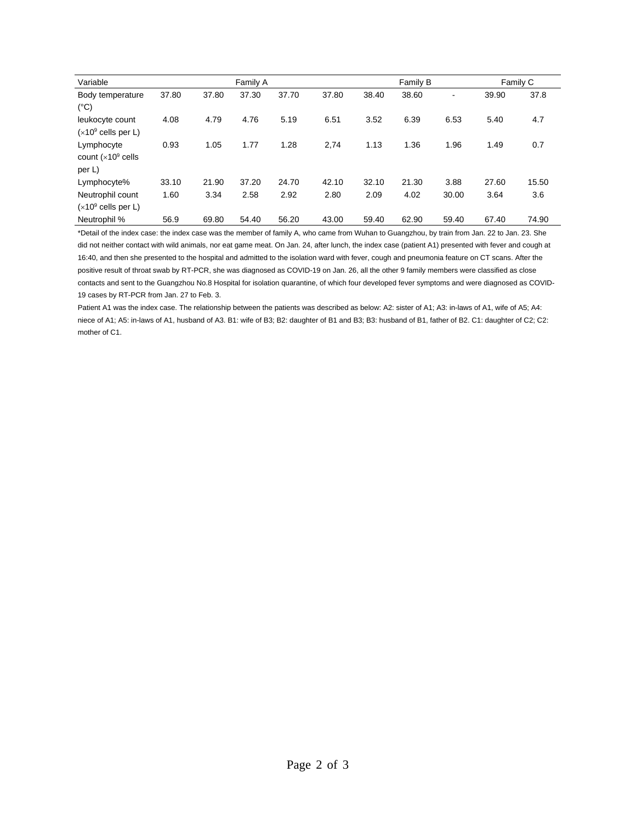| Variable                      | Family A |       |       |       |       |       | Family B |       |       | Family C |  |
|-------------------------------|----------|-------|-------|-------|-------|-------|----------|-------|-------|----------|--|
| Body temperature              | 37.80    | 37.80 | 37.30 | 37.70 | 37.80 | 38.40 | 38.60    | -     | 39.90 | 37.8     |  |
| $(^{\circ}C)$                 |          |       |       |       |       |       |          |       |       |          |  |
| leukocyte count               | 4.08     | 4.79  | 4.76  | 5.19  | 6.51  | 3.52  | 6.39     | 6.53  | 5.40  | 4.7      |  |
| $(x10^9 \text{ cells per L})$ |          |       |       |       |       |       |          |       |       |          |  |
| Lymphocyte                    | 0.93     | 1.05  | 1.77  | 1.28  | 2,74  | 1.13  | 1.36     | 1.96  | 1.49  | 0.7      |  |
| count $(x10^9 \text{ cells}$  |          |       |       |       |       |       |          |       |       |          |  |
| per L)                        |          |       |       |       |       |       |          |       |       |          |  |
| Lymphocyte%                   | 33.10    | 21.90 | 37.20 | 24.70 | 42.10 | 32.10 | 21.30    | 3.88  | 27.60 | 15.50    |  |
| Neutrophil count              | 1.60     | 3.34  | 2.58  | 2.92  | 2.80  | 2.09  | 4.02     | 30.00 | 3.64  | 3.6      |  |
| $(x10^9 \text{ cells per L})$ |          |       |       |       |       |       |          |       |       |          |  |
| Neutrophil %                  | 56.9     | 69.80 | 54.40 | 56.20 | 43.00 | 59.40 | 62.90    | 59.40 | 67.40 | 74.90    |  |

\*Detail of the index case: the index case was the member of family A, who came from Wuhan to Guangzhou, by train from Jan. 22 to Jan. 23. She did not neither contact with wild animals, nor eat game meat. On Jan. 24, after lunch, the index case (patient A1) presented with fever and cough at 16:40, and then she presented to the hospital and admitted to the isolation ward with fever, cough and pneumonia feature on CT scans. After the positive result of throat swab by RT-PCR, she was diagnosed as COVID-19 on Jan. 26, all the other 9 family members were classified as close contacts and sent to the Guangzhou No.8 Hospital for isolation quarantine, of which four developed fever symptoms and were diagnosed as COVID-19 cases by RT-PCR from Jan. 27 to Feb. 3.

Patient A1 was the index case. The relationship between the patients was described as below: A2: sister of A1; A3: in-laws of A1, wife of A5; A4: niece of A1; A5: in-laws of A1, husband of A3. B1: wife of B3; B2: daughter of B1 and B3; B3: husband of B1, father of B2. C1: daughter of C2; C2: mother of C1.